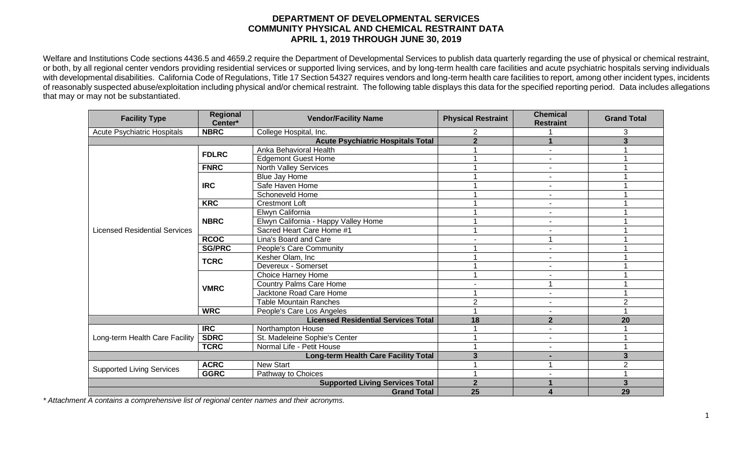## **DEPARTMENT OF DEVELOPMENTAL SERVICES COMMUNITY PHYSICAL AND CHEMICAL RESTRAINT DATA APRIL 1, 2019 THROUGH JUNE 30, 2019**

Welfare and Institutions Code sections 4436.5 and 4659.2 require the Department of Developmental Services to publish data quarterly regarding the use of physical or chemical restraint, or both, by all regional center vendors providing residential services or supported living services, and by long-term health care facilities and acute psychiatric hospitals serving individuals with developmental disabilities. California Code of Regulations, Title 17 Section 54327 requires vendors and long-term health care facilities to report, among other incident types, incidents of reasonably suspected abuse/exploitation including physical and/or chemical restraint. The following table displays this data for the specified reporting period. Data includes allegations that may or may not be substantiated.

| <b>Facility Type</b>                       | <b>Regional</b><br>Center*               | <b>Vendor/Facility Name</b>          | <b>Physical Restraint</b> | <b>Chemical</b><br><b>Restraint</b> | <b>Grand Total</b> |
|--------------------------------------------|------------------------------------------|--------------------------------------|---------------------------|-------------------------------------|--------------------|
| <b>Acute Psychiatric Hospitals</b>         | <b>NBRC</b>                              | College Hospital, Inc.               |                           |                                     | 3                  |
|                                            | <b>Acute Psychiatric Hospitals Total</b> | $\overline{2}$                       |                           | 3                                   |                    |
| <b>Licensed Residential Services</b>       | <b>FDLRC</b>                             | Anka Behavioral Health               |                           | $\blacksquare$                      |                    |
|                                            |                                          | <b>Edgemont Guest Home</b>           |                           |                                     |                    |
|                                            | <b>FNRC</b>                              | <b>North Valley Services</b>         |                           |                                     |                    |
|                                            | <b>IRC</b>                               | Blue Jay Home                        |                           | $\blacksquare$                      |                    |
|                                            |                                          | Safe Haven Home                      |                           |                                     |                    |
|                                            |                                          | Schoneveld Home                      |                           | ٠                                   |                    |
|                                            | <b>KRC</b>                               | <b>Crestmont Loft</b>                |                           | $\blacksquare$                      |                    |
|                                            | <b>NBRC</b>                              | Elwyn California                     |                           | $\blacksquare$                      |                    |
|                                            |                                          | Elwyn California - Happy Valley Home |                           |                                     |                    |
|                                            |                                          | Sacred Heart Care Home #1            |                           | ٠                                   |                    |
|                                            | <b>RCOC</b>                              | Lina's Board and Care                |                           |                                     |                    |
|                                            | <b>SG/PRC</b>                            | People's Care Community              |                           |                                     |                    |
|                                            | <b>TCRC</b>                              | Kesher Olam, Inc                     |                           | ٠                                   |                    |
|                                            |                                          | Devereux - Somerset                  |                           | ٠                                   |                    |
|                                            | <b>VMRC</b>                              | Choice Harney Home                   |                           |                                     |                    |
|                                            |                                          | <b>Country Palms Care Home</b>       |                           |                                     |                    |
|                                            |                                          | Jacktone Road Care Home              |                           | $\blacksquare$                      |                    |
|                                            |                                          | <b>Table Mountain Ranches</b>        | $\overline{2}$            | ٠                                   | 2                  |
|                                            | <b>WRC</b>                               | People's Care Los Angeles            |                           |                                     |                    |
| <b>Licensed Residential Services Total</b> |                                          |                                      | 18                        | $\overline{2}$                      | 20                 |
| Long-term Health Care Facility             | <b>IRC</b>                               | Northampton House                    |                           |                                     |                    |
|                                            | <b>SDRC</b>                              | St. Madeleine Sophie's Center        |                           |                                     |                    |
|                                            | <b>TCRC</b>                              | Normal Life - Petit House            |                           |                                     |                    |
| Long-term Health Care Facility Total       |                                          |                                      | 3                         |                                     | 3                  |
| <b>Supported Living Services</b>           | <b>ACRC</b>                              | <b>New Start</b>                     |                           |                                     | $\overline{2}$     |
|                                            | <b>GGRC</b>                              | Pathway to Choices                   |                           |                                     |                    |
|                                            | <b>Supported Living Services Total</b>   | $\overline{2}$                       |                           | 3                                   |                    |
| <b>Grand Total</b>                         |                                          |                                      | 25                        |                                     | 29                 |

*\* Attachment A contains a comprehensive list of regional center names and their acronyms.*